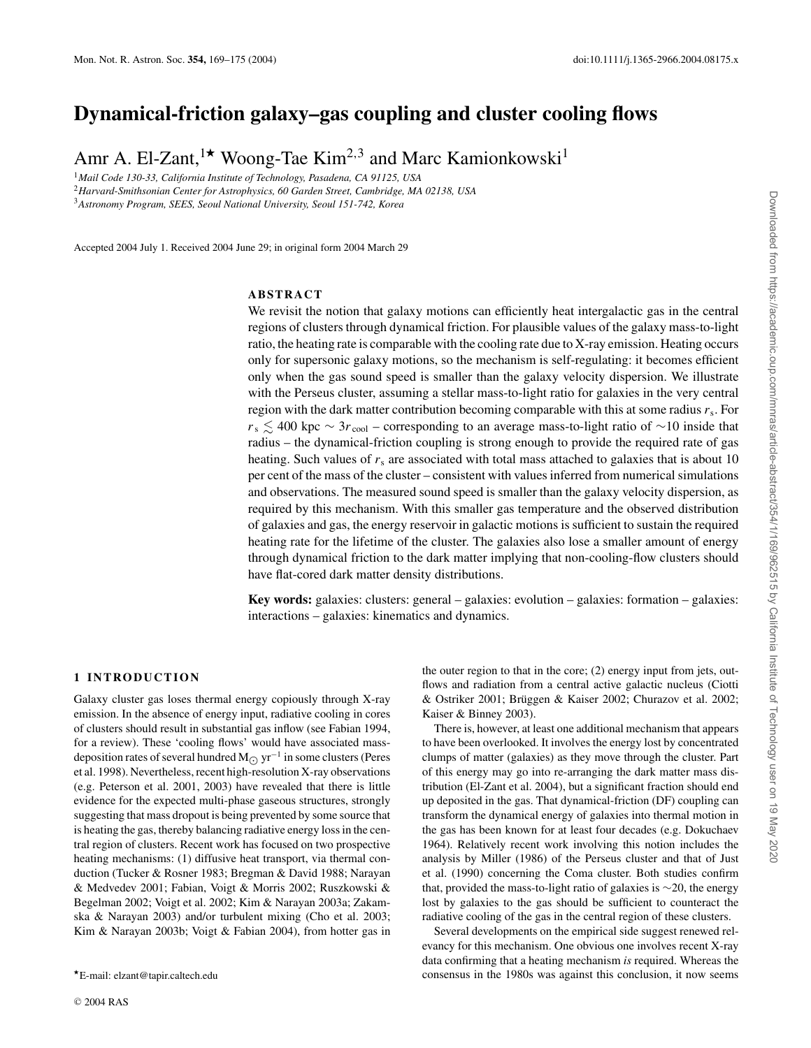# **Dynamical-friction galaxy–gas coupling and cluster cooling flows**

Amr A. El-Zant,<sup>1\*</sup> Woong-Tae Kim<sup>2,3</sup> and Marc Kamionkowski<sup>1</sup>

<sup>1</sup>*Mail Code 130-33, California Institute of Technology, Pasadena, CA 91125, USA*

<sup>2</sup>*Harvard-Smithsonian Center for Astrophysics, 60 Garden Street, Cambridge, MA 02138, USA* <sup>3</sup>*Astronomy Program, SEES, Seoul National University, Seoul 151-742, Korea*

Accepted 2004 July 1. Received 2004 June 29; in original form 2004 March 29

## **ABSTRACT**

We revisit the notion that galaxy motions can efficiently heat intergalactic gas in the central regions of clusters through dynamical friction. For plausible values of the galaxy mass-to-light ratio, the heating rate is comparable with the cooling rate due to X-ray emission. Heating occurs only for supersonic galaxy motions, so the mechanism is self-regulating: it becomes efficient only when the gas sound speed is smaller than the galaxy velocity dispersion. We illustrate with the Perseus cluster, assuming a stellar mass-to-light ratio for galaxies in the very central region with the dark matter contribution becoming comparable with this at some radius  $r_s$ . For  $r_s \le 400$  kpc ∼ 3 $r_{\text{cool}}$  – corresponding to an average mass-to-light ratio of ∼10 inside that radius – the dynamical-friction coupling is strong enough to provide the required rate of gas heating. Such values of  $r<sub>s</sub>$  are associated with total mass attached to galaxies that is about 10 per cent of the mass of the cluster – consistent with values inferred from numerical simulations and observations. The measured sound speed is smaller than the galaxy velocity dispersion, as required by this mechanism. With this smaller gas temperature and the observed distribution of galaxies and gas, the energy reservoir in galactic motions is sufficient to sustain the required heating rate for the lifetime of the cluster. The galaxies also lose a smaller amount of energy through dynamical friction to the dark matter implying that non-cooling-flow clusters should have flat-cored dark matter density distributions.

**Key words:** galaxies: clusters: general – galaxies: evolution – galaxies: formation – galaxies: interactions – galaxies: kinematics and dynamics.

## **1 INTRODUCTION**

Galaxy cluster gas loses thermal energy copiously through X-ray emission. In the absence of energy input, radiative cooling in cores of clusters should result in substantial gas inflow (see Fabian 1994, for a review). These 'cooling flows' would have associated massdeposition rates of several hundred M<sub> $\odot$ </sub> yr<sup>−1</sup> in some clusters (Peres et al. 1998). Nevertheless, recent high-resolution X-ray observations (e.g. Peterson et al. 2001, 2003) have revealed that there is little evidence for the expected multi-phase gaseous structures, strongly suggesting that mass dropout is being prevented by some source that is heating the gas, thereby balancing radiative energy loss in the central region of clusters. Recent work has focused on two prospective heating mechanisms: (1) diffusive heat transport, via thermal conduction (Tucker & Rosner 1983; Bregman & David 1988; Narayan & Medvedev 2001; Fabian, Voigt & Morris 2002; Ruszkowski & Begelman 2002; Voigt et al. 2002; Kim & Narayan 2003a; Zakamska & Narayan 2003) and/or turbulent mixing (Cho et al. 2003; Kim & Narayan 2003b; Voigt & Fabian 2004), from hotter gas in the outer region to that in the core; (2) energy input from jets, outflows and radiation from a central active galactic nucleus (Ciotti & Ostriker 2001; Brüggen & Kaiser 2002; Churazov et al. 2002; Kaiser & Binney 2003).

There is, however, at least one additional mechanism that appears to have been overlooked. It involves the energy lost by concentrated clumps of matter (galaxies) as they move through the cluster. Part of this energy may go into re-arranging the dark matter mass distribution (El-Zant et al. 2004), but a significant fraction should end up deposited in the gas. That dynamical-friction (DF) coupling can transform the dynamical energy of galaxies into thermal motion in the gas has been known for at least four decades (e.g. Dokuchaev 1964). Relatively recent work involving this notion includes the analysis by Miller (1986) of the Perseus cluster and that of Just et al. (1990) concerning the Coma cluster. Both studies confirm that, provided the mass-to-light ratio of galaxies is ∼20, the energy lost by galaxies to the gas should be sufficient to counteract the radiative cooling of the gas in the central region of these clusters.

Several developments on the empirical side suggest renewed relevancy for this mechanism. One obvious one involves recent X-ray data confirming that a heating mechanism *is* required. Whereas the consensus in the 1980s was against this conclusion, it now seems

E-mail: elzant@tapir.caltech.edu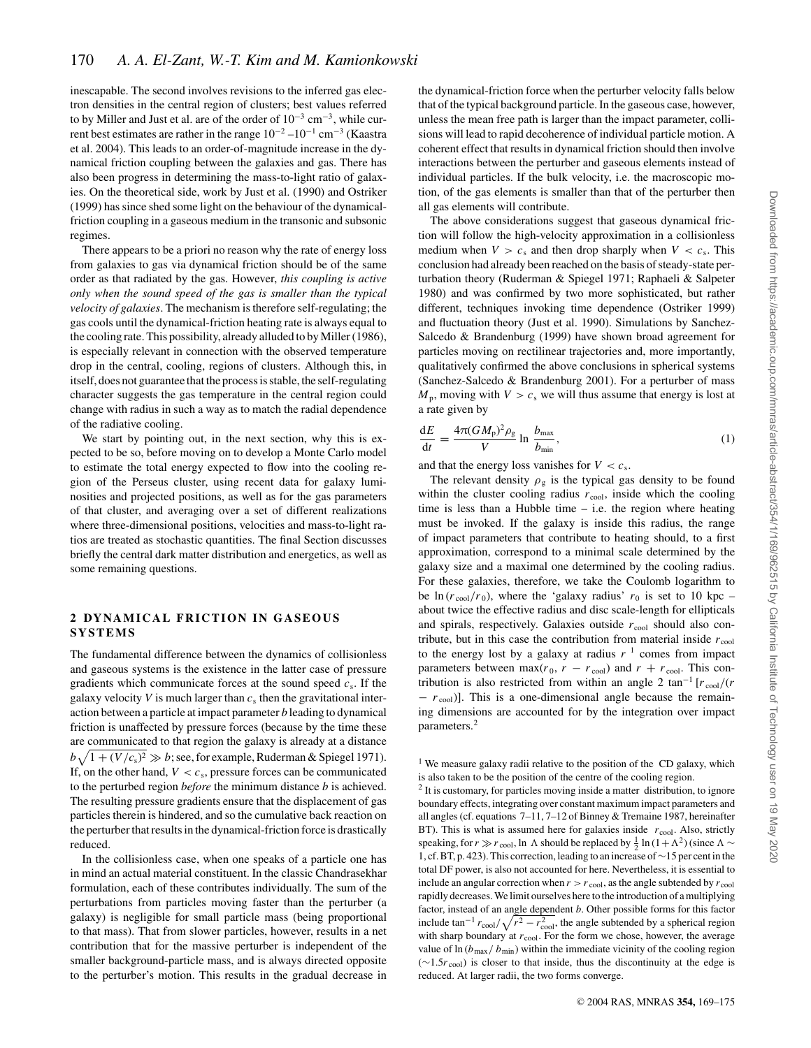inescapable. The second involves revisions to the inferred gas electron densities in the central region of clusters; best values referred to by Miller and Just et al. are of the order of  $10^{-3}$  cm<sup>-3</sup>, while current best estimates are rather in the range  $10^{-2} - 10^{-1}$  cm<sup>-3</sup> (Kaastra et al. 2004). This leads to an order-of-magnitude increase in the dynamical friction coupling between the galaxies and gas. There has also been progress in determining the mass-to-light ratio of galaxies. On the theoretical side, work by Just et al. (1990) and Ostriker (1999) has since shed some light on the behaviour of the dynamicalfriction coupling in a gaseous medium in the transonic and subsonic regimes.

There appears to be a priori no reason why the rate of energy loss from galaxies to gas via dynamical friction should be of the same order as that radiated by the gas. However, *this coupling is active only when the sound speed of the gas is smaller than the typical velocity of galaxies*. The mechanism is therefore self-regulating; the gas cools until the dynamical-friction heating rate is always equal to the cooling rate. This possibility, already alluded to by Miller (1986), is especially relevant in connection with the observed temperature drop in the central, cooling, regions of clusters. Although this, in itself, does not guarantee that the process is stable, the self-regulating character suggests the gas temperature in the central region could change with radius in such a way as to match the radial dependence of the radiative cooling.

We start by pointing out, in the next section, why this is expected to be so, before moving on to develop a Monte Carlo model to estimate the total energy expected to flow into the cooling region of the Perseus cluster, using recent data for galaxy luminosities and projected positions, as well as for the gas parameters of that cluster, and averaging over a set of different realizations where three-dimensional positions, velocities and mass-to-light ratios are treated as stochastic quantities. The final Section discusses briefly the central dark matter distribution and energetics, as well as some remaining questions.

## **2 DYNAMICAL FRICTION IN GASEOUS SYSTEMS**

The fundamental difference between the dynamics of collisionless and gaseous systems is the existence in the latter case of pressure gradients which communicate forces at the sound speed  $c_s$ . If the galaxy velocity *V* is much larger than  $c_s$  then the gravitational interaction between a particle at impact parameter *b* leading to dynamical friction is unaffected by pressure forces (because by the time these are communicated to that region the galaxy is already at a distance  $b\sqrt{1 + (V/c_s)^2} \gg b$ ; see, for example, Ruderman & Spiegel 1971). If, on the other hand,  $V < c_s$ , pressure forces can be communicated to the perturbed region *before* the minimum distance *b* is achieved. The resulting pressure gradients ensure that the displacement of gas particles therein is hindered, and so the cumulative back reaction on the perturber that results in the dynamical-friction force is drastically reduced.

In the collisionless case, when one speaks of a particle one has in mind an actual material constituent. In the classic Chandrasekhar formulation, each of these contributes individually. The sum of the perturbations from particles moving faster than the perturber (a galaxy) is negligible for small particle mass (being proportional to that mass). That from slower particles, however, results in a net contribution that for the massive perturber is independent of the smaller background-particle mass, and is always directed opposite to the perturber's motion. This results in the gradual decrease in the dynamical-friction force when the perturber velocity falls below that of the typical background particle. In the gaseous case, however, unless the mean free path is larger than the impact parameter, collisions will lead to rapid decoherence of individual particle motion. A coherent effect that results in dynamical friction should then involve interactions between the perturber and gaseous elements instead of individual particles. If the bulk velocity, i.e. the macroscopic motion, of the gas elements is smaller than that of the perturber then all gas elements will contribute.

The above considerations suggest that gaseous dynamical friction will follow the high-velocity approximation in a collisionless medium when  $V > c_s$  and then drop sharply when  $V < c_s$ . This conclusion had already been reached on the basis of steady-state perturbation theory (Ruderman & Spiegel 1971; Raphaeli & Salpeter 1980) and was confirmed by two more sophisticated, but rather different, techniques invoking time dependence (Ostriker 1999) and fluctuation theory (Just et al. 1990). Simulations by Sanchez-Salcedo & Brandenburg (1999) have shown broad agreement for particles moving on rectilinear trajectories and, more importantly, qualitatively confirmed the above conclusions in spherical systems (Sanchez-Salcedo & Brandenburg 2001). For a perturber of mass  $M_p$ , moving with  $V > c_s$  we will thus assume that energy is lost at a rate given by

$$
\frac{dE}{dt} = \frac{4\pi (GM_{\rm p})^2 \rho_{\rm g}}{V} \ln \frac{b_{\rm max}}{b_{\rm min}},\tag{1}
$$

and that the energy loss vanishes for  $V < c_s$ .

The relevant density  $\rho_{\rm g}$  is the typical gas density to be found within the cluster cooling radius  $r_{\text{cool}}$ , inside which the cooling time is less than a Hubble time – i.e. the region where heating must be invoked. If the galaxy is inside this radius, the range of impact parameters that contribute to heating should, to a first approximation, correspond to a minimal scale determined by the galaxy size and a maximal one determined by the cooling radius. For these galaxies, therefore, we take the Coulomb logarithm to be  $\ln (r_{\text{cool}}/r_0)$ , where the 'galaxy radius'  $r_0$  is set to 10 kpc – about twice the effective radius and disc scale-length for ellipticals and spirals, respectively. Galaxies outside  $r_{\text{cool}}$  should also contribute, but in this case the contribution from material inside  $r_{\text{cool}}$ to the energy lost by a galaxy at radius  $r^{-1}$  comes from impact parameters between max( $r_0$ ,  $r - r_{\text{cool}}$ ) and  $r + r_{\text{cool}}$ . This contribution is also restricted from within an angle 2 tan<sup>-1</sup> [ $r_{\text{cool}}/(r)$  $- r_{\rm cool}$ )]. This is a one-dimensional angle because the remaining dimensions are accounted for by the integration over impact parameters.<sup>2</sup>

<sup>&</sup>lt;sup>1</sup> We measure galaxy radii relative to the position of the CD galaxy, which is also taken to be the position of the centre of the cooling region.

<sup>&</sup>lt;sup>2</sup> It is customary, for particles moving inside a matter distribution, to ignore boundary effects, integrating over constant maximum impact parameters and all angles (cf. equations 7–11, 7–12 of Binney & Tremaine 1987, hereinafter BT). This is what is assumed here for galaxies inside  $r_{\text{cool}}$ . Also, strictly speaking, for  $r \gg r_{\rm cool}$ , ln  $\Lambda$  should be replaced by  $\frac{1}{2} \ln(1+\Lambda^2)$  (since  $\Lambda \sim$ 1, cf. BT, p. 423). This correction, leading to an increase of∼15 per cent in the total DF power, is also not accounted for here. Nevertheless, it is essential to include an angular correction when  $r > r$  cool, as the angle subtended by  $r$  cool rapidly decreases. We limit ourselves here to the introduction of a multiplying factor, instead of an angle dependent *b*. Other possible forms for this factor include  $\tan^{-1} r_{\text{cool}} / \sqrt{r^2 - r_{\text{cool}}^2}$ , the angle subtended by a spherical region with sharp boundary at  $r_{\rm cool}$ . For the form we chose, however, the average value of  $\ln (b_{\text{max}}/b_{\text{min}})$  within the immediate vicinity of the cooling region (∼1.5*r* cool) is closer to that inside, thus the discontinuity at the edge is reduced. At larger radii, the two forms converge.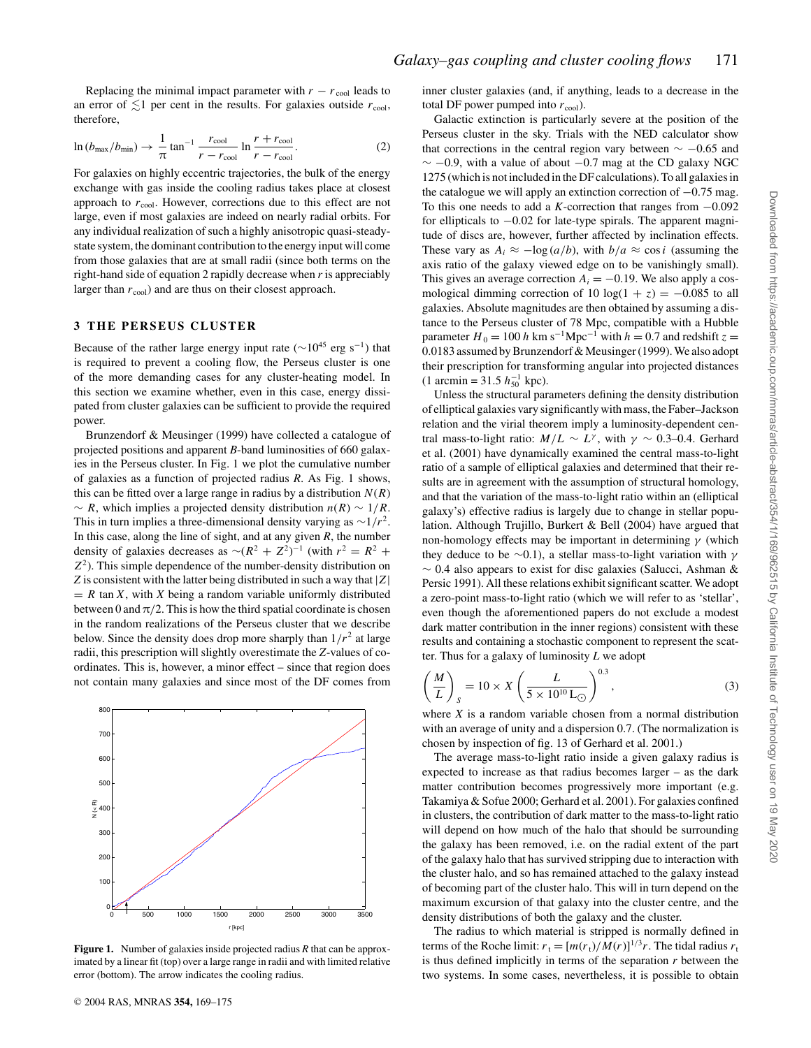Replacing the minimal impact parameter with  $r - r_{\text{cool}}$  leads to an error of  $\leq 1$  per cent in the results. For galaxies outside  $r_{\text{cool}}$ , therefore,

$$
\ln\left(b_{\text{max}}/b_{\text{min}}\right) \to \frac{1}{\pi} \tan^{-1} \frac{r_{\text{cool}}}{r - r_{\text{cool}}} \ln \frac{r + r_{\text{cool}}}{r - r_{\text{cool}}}.\tag{2}
$$

For galaxies on highly eccentric trajectories, the bulk of the energy exchange with gas inside the cooling radius takes place at closest approach to  $r_{\text{cool}}$ . However, corrections due to this effect are not large, even if most galaxies are indeed on nearly radial orbits. For any individual realization of such a highly anisotropic quasi-steadystate system, the dominant contribution to the energy input will come from those galaxies that are at small radii (since both terms on the right-hand side of equation 2 rapidly decrease when *r* is appreciably larger than  $r_{\rm cool}$ ) and are thus on their closest approach.

## **3 THE PERSEUS CLUSTER**

Because of the rather large energy input rate ( $\sim$ 10<sup>45</sup> erg s<sup>-1</sup>) that is required to prevent a cooling flow, the Perseus cluster is one of the more demanding cases for any cluster-heating model. In this section we examine whether, even in this case, energy dissipated from cluster galaxies can be sufficient to provide the required power.

Brunzendorf & Meusinger (1999) have collected a catalogue of projected positions and apparent *B*-band luminosities of 660 galaxies in the Perseus cluster. In Fig. 1 we plot the cumulative number of galaxies as a function of projected radius *R*. As Fig. 1 shows, this can be fitted over a large range in radius by a distribution  $N(R)$  $\sim R$ , which implies a projected density distribution  $n(R) \sim 1/R$ . This in turn implies a three-dimensional density varying as  $\sim 1/r^2$ . In this case, along the line of sight, and at any given *R*, the number density of galaxies decreases as  $\sim (R^2 + Z^2)^{-1}$  (with  $r^2 = R^2 +$ *Z*2). This simple dependence of the number-density distribution on *Z* is consistent with the latter being distributed in such a way that |*Z*|  $= R \tan X$ , with *X* being a random variable uniformly distributed between 0 and  $\pi/2$ . This is how the third spatial coordinate is chosen in the random realizations of the Perseus cluster that we describe below. Since the density does drop more sharply than  $1/r^2$  at large radii, this prescription will slightly overestimate the *Z*-values of coordinates. This is, however, a minor effect – since that region does not contain many galaxies and since most of the DF comes from



**Figure 1.** Number of galaxies inside projected radius *R* that can be approximated by a linear fit (top) over a large range in radii and with limited relative error (bottom). The arrow indicates the cooling radius.

inner cluster galaxies (and, if anything, leads to a decrease in the total DF power pumped into  $r_{\rm cool}$ ).

Galactic extinction is particularly severe at the position of the Perseus cluster in the sky. Trials with the NED calculator show that corrections in the central region vary between  $\sim -0.65$  and  $\sim$  −0.9, with a value of about −0.7 mag at the CD galaxy NGC 1275 (which is not included in the DF calculations). To all galaxies in the catalogue we will apply an extinction correction of  $-0.75$  mag. To this one needs to add a *K*-correction that ranges from −0.092 for ellipticals to  $-0.02$  for late-type spirals. The apparent magnitude of discs are, however, further affected by inclination effects. These vary as  $A_i \approx -\log(a/b)$ , with  $b/a \approx \cos i$  (assuming the axis ratio of the galaxy viewed edge on to be vanishingly small). This gives an average correction  $A_i = -0.19$ . We also apply a cosmological dimming correction of 10 log( $1 + z$ ) =  $-0.085$  to all galaxies. Absolute magnitudes are then obtained by assuming a distance to the Perseus cluster of 78 Mpc, compatible with a Hubble parameter  $H_0 = 100 h \text{ km s}^{-1} \text{Mpc}^{-1}$  with  $h = 0.7$  and redshift  $z =$ 0.0183 assumed by Brunzendorf & Meusinger (1999). We also adopt their prescription for transforming angular into projected distances  $(1 \text{ arcmin} = 31.5 h_{50}^{-1} \text{ kpc}).$ 

Unless the structural parameters defining the density distribution of elliptical galaxies vary significantly with mass, the Faber–Jackson relation and the virial theorem imply a luminosity-dependent central mass-to-light ratio:  $M/L \sim L^{\gamma}$ , with  $\gamma \sim 0.3-0.4$ . Gerhard et al. (2001) have dynamically examined the central mass-to-light ratio of a sample of elliptical galaxies and determined that their results are in agreement with the assumption of structural homology, and that the variation of the mass-to-light ratio within an (elliptical galaxy's) effective radius is largely due to change in stellar population. Although Trujillo, Burkert & Bell (2004) have argued that non-homology effects may be important in determining  $\gamma$  (which they deduce to be ∼0.1), a stellar mass-to-light variation with  $\gamma$ ∼ 0.4 also appears to exist for disc galaxies (Salucci, Ashman & Persic 1991). All these relations exhibit significant scatter. We adopt a zero-point mass-to-light ratio (which we will refer to as 'stellar', even though the aforementioned papers do not exclude a modest dark matter contribution in the inner regions) consistent with these results and containing a stochastic component to represent the scatter. Thus for a galaxy of luminosity *L* we adopt

$$
\left(\frac{M}{L}\right)_S = 10 \times X \left(\frac{L}{5 \times 10^{10} \,\text{L}_{\odot}}\right)^{0.3},\tag{3}
$$

where *X* is a random variable chosen from a normal distribution with an average of unity and a dispersion 0.7. (The normalization is chosen by inspection of fig. 13 of Gerhard et al. 2001.)

The average mass-to-light ratio inside a given galaxy radius is expected to increase as that radius becomes larger – as the dark matter contribution becomes progressively more important (e.g. Takamiya & Sofue 2000; Gerhard et al. 2001). For galaxies confined in clusters, the contribution of dark matter to the mass-to-light ratio will depend on how much of the halo that should be surrounding the galaxy has been removed, i.e. on the radial extent of the part of the galaxy halo that has survived stripping due to interaction with the cluster halo, and so has remained attached to the galaxy instead of becoming part of the cluster halo. This will in turn depend on the maximum excursion of that galaxy into the cluster centre, and the density distributions of both the galaxy and the cluster.

The radius to which material is stripped is normally defined in terms of the Roche limit:  $r_t = [m(r_t)/M(r)]^{1/3}r$ . The tidal radius  $r_t$ is thus defined implicitly in terms of the separation *r* between the two systems. In some cases, nevertheless, it is possible to obtain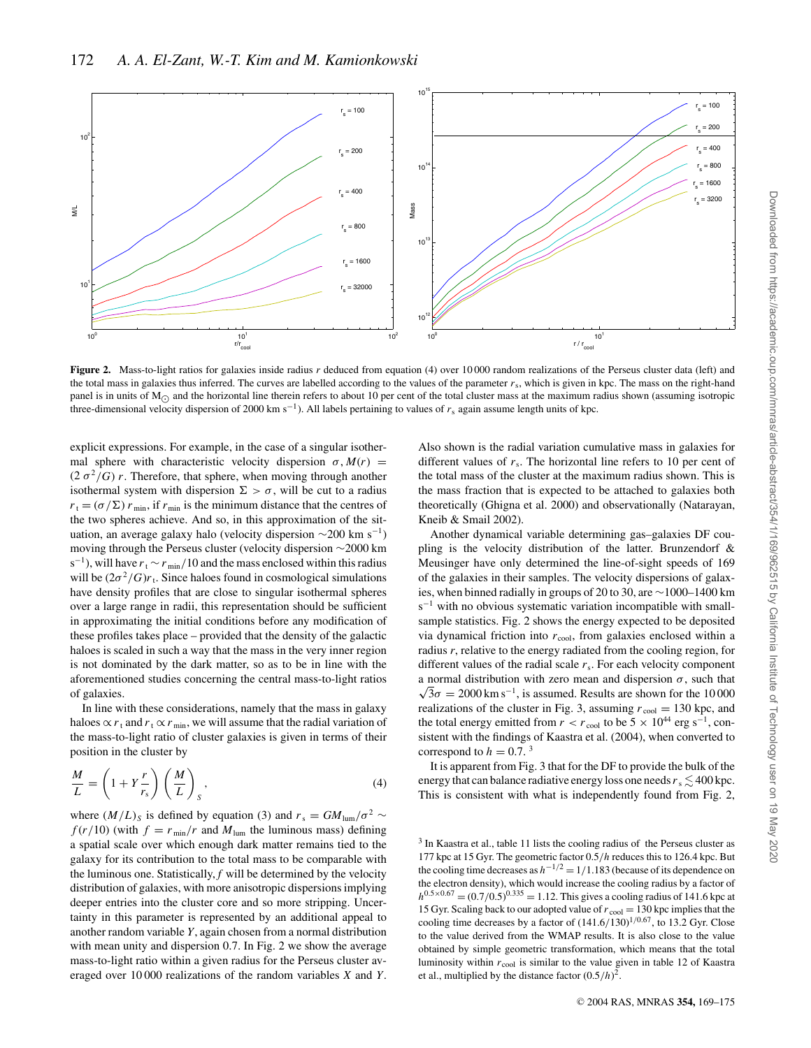

**Figure 2.** Mass-to-light ratios for galaxies inside radius *r* deduced from equation (4) over 10 000 random realizations of the Perseus cluster data (left) and the total mass in galaxies thus inferred. The curves are labelled according to the values of the parameter  $r<sub>s</sub>$ , which is given in kpc. The mass on the right-hand panel is in units of  $M_{\odot}$  and the horizontal line therein refers to about 10 per cent of the total cluster mass at the maximum radius shown (assuming isotropic three-dimensional velocity dispersion of 2000 km s−1). All labels pertaining to values of *r*<sup>s</sup> again assume length units of kpc.

explicit expressions. For example, in the case of a singular isothermal sphere with characteristic velocity dispersion  $\sigma$ ,  $M(r)$  =  $(2 \sigma^2/G) r$ . Therefore, that sphere, when moving through another isothermal system with dispersion  $\Sigma > \sigma$ , will be cut to a radius  $r_t = (\sigma/\Sigma) r_{\min}$ , if  $r_{\min}$  is the minimum distance that the centres of the two spheres achieve. And so, in this approximation of the situation, an average galaxy halo (velocity dispersion  $\sim$ 200 km s<sup>-1</sup>) moving through the Perseus cluster (velocity dispersion ∼2000 km s<sup>−1</sup>), will have  $r_t \sim r_{min}/10$  and the mass enclosed within this radius will be  $(2\sigma^2/G)r_t$ . Since haloes found in cosmological simulations have density profiles that are close to singular isothermal spheres over a large range in radii, this representation should be sufficient in approximating the initial conditions before any modification of these profiles takes place – provided that the density of the galactic haloes is scaled in such a way that the mass in the very inner region is not dominated by the dark matter, so as to be in line with the aforementioned studies concerning the central mass-to-light ratios of galaxies.

In line with these considerations, namely that the mass in galaxy haloes  $\propto r_t$  and  $r_t \propto r_{\text{min}}$ , we will assume that the radial variation of the mass-to-light ratio of cluster galaxies is given in terms of their position in the cluster by

$$
\frac{M}{L} = \left(1 + Y\frac{r}{r_s}\right) \left(\frac{M}{L}\right)_S, \tag{4}
$$

where  $(M/L)_S$  is defined by equation (3) and  $r_s = GM_{\text{lum}}/\sigma^2 \sim$  $f(r/10)$  (with  $f = r_{min}/r$  and  $M_{lum}$  the luminous mass) defining a spatial scale over which enough dark matter remains tied to the galaxy for its contribution to the total mass to be comparable with the luminous one. Statistically, *f* will be determined by the velocity distribution of galaxies, with more anisotropic dispersions implying deeper entries into the cluster core and so more stripping. Uncertainty in this parameter is represented by an additional appeal to another random variable *Y*, again chosen from a normal distribution with mean unity and dispersion 0.7. In Fig. 2 we show the average mass-to-light ratio within a given radius for the Perseus cluster averaged over 10 000 realizations of the random variables *X* and *Y*. Also shown is the radial variation cumulative mass in galaxies for different values of  $r_s$ . The horizontal line refers to 10 per cent of the total mass of the cluster at the maximum radius shown. This is the mass fraction that is expected to be attached to galaxies both theoretically (Ghigna et al. 2000) and observationally (Natarayan, Kneib & Smail 2002).

Another dynamical variable determining gas–galaxies DF coupling is the velocity distribution of the latter. Brunzendorf & Meusinger have only determined the line-of-sight speeds of 169 of the galaxies in their samples. The velocity dispersions of galaxies, when binned radially in groups of 20 to 30, are ∼1000–1400 km s<sup>-1</sup> with no obvious systematic variation incompatible with smallsample statistics. Fig. 2 shows the energy expected to be deposited via dynamical friction into  $r_{\text{cool}}$ , from galaxies enclosed within a radius *r*, relative to the energy radiated from the cooling region, for different values of the radial scale *r*s. For each velocity component a normal distribution with zero mean and dispersion  $\sigma$ , such that  $\sqrt{3}\sigma = 2000 \text{ km s}^{-1}$  is assumed. Pesults are shown for the 10,000  $\sqrt{3}\sigma = 2000 \,\mathrm{km\,s^{-1}}$ , is assumed. Results are shown for the 10 000 realizations of the cluster in Fig. 3, assuming  $r_{\text{cool}} = 130$  kpc, and the total energy emitted from  $r < r_{\text{cool}}$  to be 5 × 10<sup>44</sup> erg s<sup>-1</sup>, consistent with the findings of Kaastra et al. (2004), when converted to correspond to  $h = 0.7$ .<sup>3</sup>

It is apparent from Fig. 3 that for the DF to provide the bulk of the energy that can balance radiative energy loss one needs  $r_s \lesssim 400$  kpc. This is consistent with what is independently found from Fig. 2,

<sup>3</sup> In Kaastra et al., table 11 lists the cooling radius of the Perseus cluster as 177 kpc at 15 Gyr. The geometric factor 0.5/*h* reduces this to 126.4 kpc. But the cooling time decreases as  $h^{-1/2} = 1/1.183$  (because of its dependence on the electron density), which would increase the cooling radius by a factor of  $h^{0.5 \times 0.67}$  = (0.7/0.5)<sup>0.335</sup> = 1.12. This gives a cooling radius of 141.6 kpc at 15 Gyr. Scaling back to our adopted value of  $r_{\text{cool}} = 130$  kpc implies that the cooling time decreases by a factor of  $(141.6/130)^{1/0.67}$ , to 13.2 Gyr. Close to the value derived from the WMAP results. It is also close to the value obtained by simple geometric transformation, which means that the total luminosity within *r*cool is similar to the value given in table 12 of Kaastra et al., multiplied by the distance factor  $(0.5/h)^2$ .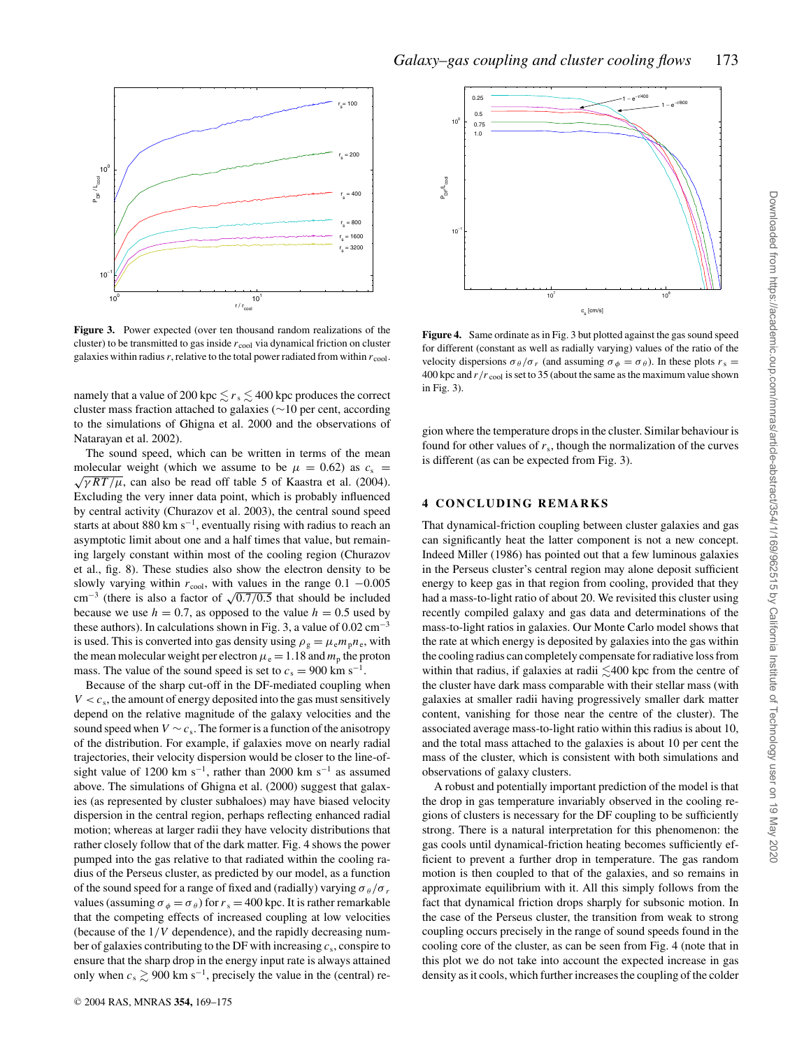

**Figure 3.** Power expected (over ten thousand random realizations of the cluster) to be transmitted to gas inside  $r_{\text{cool}}$  via dynamical friction on cluster galaxies within radius  $r$ , relative to the total power radiated from within  $r_{\text{cool}}$ .

namely that a value of 200 kpc  $\leq r_s \leq 400$  kpc produces the correct cluster mass fraction attached to galaxies (∼10 per cent, according to the simulations of Ghigna et al. 2000 and the observations of Natarayan et al. 2002).

The sound speed, which can be written in terms of the mean molecular weight (which we assume to be  $\mu = 0.62$ ) as  $c_s = \sqrt{\gamma RT/\mu}$ , can also be read off table 5 of Kaastra et al. (2004). Excluding the very inner data point, which is probably influenced by central activity (Churazov et al. 2003), the central sound speed starts at about 880 km s<sup> $-1$ </sup>, eventually rising with radius to reach an asymptotic limit about one and a half times that value, but remaining largely constant within most of the cooling region (Churazov et al., fig. 8). These studies also show the electron density to be slowly varying within  $r_{\text{cool}}$ , with values in the range 0.1  $-0.005$ cm<sup>-3</sup> (there is also a factor of  $\sqrt{0.7/0.5}$  that should be included because we use  $h = 0.7$ , as opposed to the value  $h = 0.5$  used by these authors). In calculations shown in Fig. 3, a value of  $0.02 \text{ cm}^{-3}$ is used. This is converted into gas density using  $\rho_{\rm g} = \mu_{\rm e} m_{\rm p} n_{\rm e}$ , with the mean molecular weight per electron  $\mu_e = 1.18$  and  $m_p$  the proton mass. The value of the sound speed is set to  $c_s = 900 \text{ km s}^{-1}$ .

Because of the sharp cut-off in the DF-mediated coupling when  $V < c<sub>s</sub>$ , the amount of energy deposited into the gas must sensitively depend on the relative magnitude of the galaxy velocities and the sound speed when  $V \sim c_s$ . The former is a function of the anisotropy of the distribution. For example, if galaxies move on nearly radial trajectories, their velocity dispersion would be closer to the line-ofsight value of 1200 km s<sup>-1</sup>, rather than 2000 km s<sup>-1</sup> as assumed above. The simulations of Ghigna et al. (2000) suggest that galaxies (as represented by cluster subhaloes) may have biased velocity dispersion in the central region, perhaps reflecting enhanced radial motion; whereas at larger radii they have velocity distributions that rather closely follow that of the dark matter. Fig. 4 shows the power pumped into the gas relative to that radiated within the cooling radius of the Perseus cluster, as predicted by our model, as a function of the sound speed for a range of fixed and (radially) varying  $\sigma_{\theta}/\sigma_{r}$ values (assuming  $\sigma_{\phi} = \sigma_{\theta}$ ) for  $r_s = 400$  kpc. It is rather remarkable that the competing effects of increased coupling at low velocities (because of the 1/*V* dependence), and the rapidly decreasing number of galaxies contributing to the DF with increasing *c*s, conspire to ensure that the sharp drop in the energy input rate is always attained only when  $c_s \gtrsim 900 \text{ km s}^{-1}$ , precisely the value in the (central) re-



**Figure 4.** Same ordinate as in Fig. 3 but plotted against the gas sound speed for different (constant as well as radially varying) values of the ratio of the velocity dispersions  $\sigma_{\theta}/\sigma_r$  (and assuming  $\sigma_{\phi} = \sigma_{\theta}$ ). In these plots  $r_s =$ 400 kpc and  $r/r_{\text{cool}}$  is set to 35 (about the same as the maximum value shown in Fig. 3).

gion where the temperature drops in the cluster. Similar behaviour is found for other values of  $r_s$ , though the normalization of the curves is different (as can be expected from Fig. 3).

### **4 CONCLUDING REMARKS**

That dynamical-friction coupling between cluster galaxies and gas can significantly heat the latter component is not a new concept. Indeed Miller (1986) has pointed out that a few luminous galaxies in the Perseus cluster's central region may alone deposit sufficient energy to keep gas in that region from cooling, provided that they had a mass-to-light ratio of about 20. We revisited this cluster using recently compiled galaxy and gas data and determinations of the mass-to-light ratios in galaxies. Our Monte Carlo model shows that the rate at which energy is deposited by galaxies into the gas within the cooling radius can completely compensate for radiative loss from within that radius, if galaxies at radii  $\leq 400$  kpc from the centre of the cluster have dark mass comparable with their stellar mass (with galaxies at smaller radii having progressively smaller dark matter content, vanishing for those near the centre of the cluster). The associated average mass-to-light ratio within this radius is about 10, and the total mass attached to the galaxies is about 10 per cent the mass of the cluster, which is consistent with both simulations and observations of galaxy clusters.

A robust and potentially important prediction of the model is that the drop in gas temperature invariably observed in the cooling regions of clusters is necessary for the DF coupling to be sufficiently strong. There is a natural interpretation for this phenomenon: the gas cools until dynamical-friction heating becomes sufficiently efficient to prevent a further drop in temperature. The gas random motion is then coupled to that of the galaxies, and so remains in approximate equilibrium with it. All this simply follows from the fact that dynamical friction drops sharply for subsonic motion. In the case of the Perseus cluster, the transition from weak to strong coupling occurs precisely in the range of sound speeds found in the cooling core of the cluster, as can be seen from Fig. 4 (note that in this plot we do not take into account the expected increase in gas density as it cools, which further increases the coupling of the colder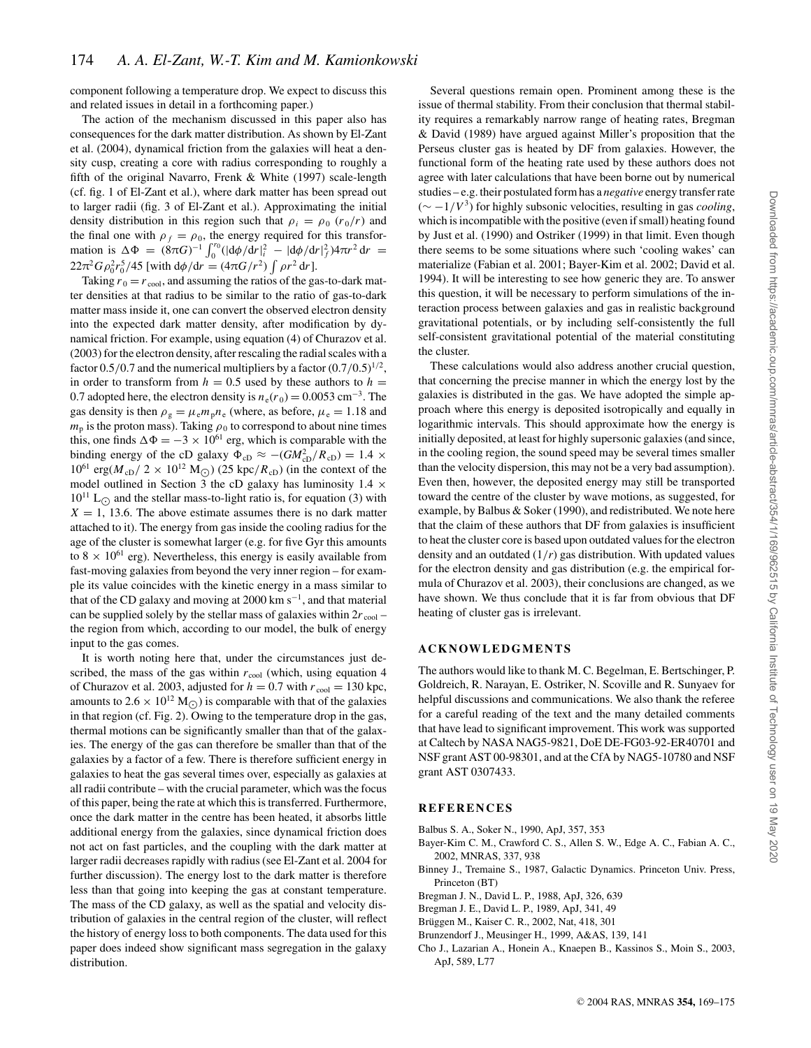component following a temperature drop. We expect to discuss this and related issues in detail in a forthcoming paper.)

The action of the mechanism discussed in this paper also has consequences for the dark matter distribution. As shown by El-Zant et al. (2004), dynamical friction from the galaxies will heat a density cusp, creating a core with radius corresponding to roughly a fifth of the original Navarro, Frenk & White (1997) scale-length (cf. fig. 1 of El-Zant et al.), where dark matter has been spread out to larger radii (fig. 3 of El-Zant et al.). Approximating the initial density distribution in this region such that  $\rho_i = \rho_0 (r_0/r)$  and the final one with  $\rho_f = \rho_0$ , the energy required for this transformation is ΔΦ =  $(8πG)^{-1} \int_0^{r_0} (|\mathrm{d}\phi/\mathrm{d}r|_i^2 - |\mathrm{d}\phi/\mathrm{d}r|_f^2) 4πr^2 \,dr =$  $22\pi^2 G \rho_0^2 r_0^5/45$  [with  $d\phi/dr = (4\pi G/r^2) \int \rho r^2 dr$ ].

Taking  $r_0 = r_{\text{cool}}$ , and assuming the ratios of the gas-to-dark matter densities at that radius to be similar to the ratio of gas-to-dark matter mass inside it, one can convert the observed electron density into the expected dark matter density, after modification by dynamical friction. For example, using equation (4) of Churazov et al. (2003) for the electron density, after rescaling the radial scales with a factor  $0.5/0.7$  and the numerical multipliers by a factor  $(0.7/0.5)^{1/2}$ , in order to transform from  $h = 0.5$  used by these authors to  $h =$ 0.7 adopted here, the electron density is  $n_e(r_0) = 0.0053$  cm<sup>-3</sup>. The gas density is then  $\rho_g = \mu_e m_p n_e$  (where, as before,  $\mu_e = 1.18$  and  $m_p$  is the proton mass). Taking  $\rho_0$  to correspond to about nine times this, one finds  $\Delta \Phi = -3 \times 10^{61}$  erg, which is comparable with the binding energy of the cD galaxy  $\Phi_{cD} \approx -(GM_{cD}^2/R_{cD}) = 1.4 \times$  $10^{61} \text{ erg}(M_{\text{cD}}/2 \times 10^{12} \text{ M}_{\odot}) (25 \text{ kpc}/R_{\text{cD}})$  (in the context of the model outlined in Section 3 the cD galaxy has luminosity  $1.4 \times$  $10^{11}$  L<sub>O</sub> and the stellar mass-to-light ratio is, for equation (3) with  $X = 1$ , 13.6. The above estimate assumes there is no dark matter attached to it). The energy from gas inside the cooling radius for the age of the cluster is somewhat larger (e.g. for five Gyr this amounts to 8  $\times$  10<sup>61</sup> erg). Nevertheless, this energy is easily available from fast-moving galaxies from beyond the very inner region – for example its value coincides with the kinetic energy in a mass similar to that of the CD galaxy and moving at 2000 km s−1, and that material can be supplied solely by the stellar mass of galaxies within  $2r_{\text{cool}}$  – the region from which, according to our model, the bulk of energy input to the gas comes.

It is worth noting here that, under the circumstances just described, the mass of the gas within  $r_{\text{cool}}$  (which, using equation 4 of Churazov et al. 2003, adjusted for  $h = 0.7$  with  $r_{\text{cool}} = 130$  kpc, amounts to  $2.6 \times 10^{12}$  M<sub>O</sub>) is comparable with that of the galaxies in that region (cf. Fig. 2). Owing to the temperature drop in the gas, thermal motions can be significantly smaller than that of the galaxies. The energy of the gas can therefore be smaller than that of the galaxies by a factor of a few. There is therefore sufficient energy in galaxies to heat the gas several times over, especially as galaxies at all radii contribute – with the crucial parameter, which was the focus of this paper, being the rate at which this is transferred. Furthermore, once the dark matter in the centre has been heated, it absorbs little additional energy from the galaxies, since dynamical friction does not act on fast particles, and the coupling with the dark matter at larger radii decreases rapidly with radius (see El-Zant et al. 2004 for further discussion). The energy lost to the dark matter is therefore less than that going into keeping the gas at constant temperature. The mass of the CD galaxy, as well as the spatial and velocity distribution of galaxies in the central region of the cluster, will reflect the history of energy loss to both components. The data used for this paper does indeed show significant mass segregation in the galaxy distribution.

Several questions remain open. Prominent among these is the issue of thermal stability. From their conclusion that thermal stability requires a remarkably narrow range of heating rates, Bregman & David (1989) have argued against Miller's proposition that the Perseus cluster gas is heated by DF from galaxies. However, the functional form of the heating rate used by these authors does not agree with later calculations that have been borne out by numerical studies – e.g. their postulated form has a *negative* energy transfer rate (∼ −1/*V*3) for highly subsonic velocities, resulting in gas *cooling*, which is incompatible with the positive (even if small) heating found by Just et al. (1990) and Ostriker (1999) in that limit. Even though there seems to be some situations where such 'cooling wakes' can materialize (Fabian et al. 2001; Bayer-Kim et al. 2002; David et al. 1994). It will be interesting to see how generic they are. To answer this question, it will be necessary to perform simulations of the interaction process between galaxies and gas in realistic background gravitational potentials, or by including self-consistently the full self-consistent gravitational potential of the material constituting the cluster.

These calculations would also address another crucial question, that concerning the precise manner in which the energy lost by the galaxies is distributed in the gas. We have adopted the simple approach where this energy is deposited isotropically and equally in logarithmic intervals. This should approximate how the energy is initially deposited, at least for highly supersonic galaxies (and since, in the cooling region, the sound speed may be several times smaller than the velocity dispersion, this may not be a very bad assumption). Even then, however, the deposited energy may still be transported toward the centre of the cluster by wave motions, as suggested, for example, by Balbus & Soker (1990), and redistributed. We note here that the claim of these authors that DF from galaxies is insufficient to heat the cluster core is based upon outdated values for the electron density and an outdated (1/*r*) gas distribution. With updated values for the electron density and gas distribution (e.g. the empirical formula of Churazov et al. 2003), their conclusions are changed, as we have shown. We thus conclude that it is far from obvious that DF heating of cluster gas is irrelevant.

## **ACKNOWLEDGMENTS**

The authors would like to thank M. C. Begelman, E. Bertschinger, P. Goldreich, R. Narayan, E. Ostriker, N. Scoville and R. Sunyaev for helpful discussions and communications. We also thank the referee for a careful reading of the text and the many detailed comments that have lead to significant improvement. This work was supported at Caltech by NASA NAG5-9821, DoE DE-FG03-92-ER40701 and NSF grant AST 00-98301, and at the CfA by NAG5-10780 and NSF grant AST 0307433.

#### **REFERENCES**

- Balbus S. A., Soker N., 1990, ApJ, 357, 353
- Bayer-Kim C. M., Crawford C. S., Allen S. W., Edge A. C., Fabian A. C., 2002, MNRAS, 337, 938
- Binney J., Tremaine S., 1987, Galactic Dynamics. Princeton Univ. Press, Princeton (BT)
- Bregman J. N., David L. P., 1988, ApJ, 326, 639
- Bregman J. E., David L. P., 1989, ApJ, 341, 49
- Brüggen M., Kaiser C. R., 2002, Nat, 418, 301
- Brunzendorf J., Meusinger H., 1999, A&AS, 139, 141
- Cho J., Lazarian A., Honein A., Knaepen B., Kassinos S., Moin S., 2003, ApJ, 589, L77